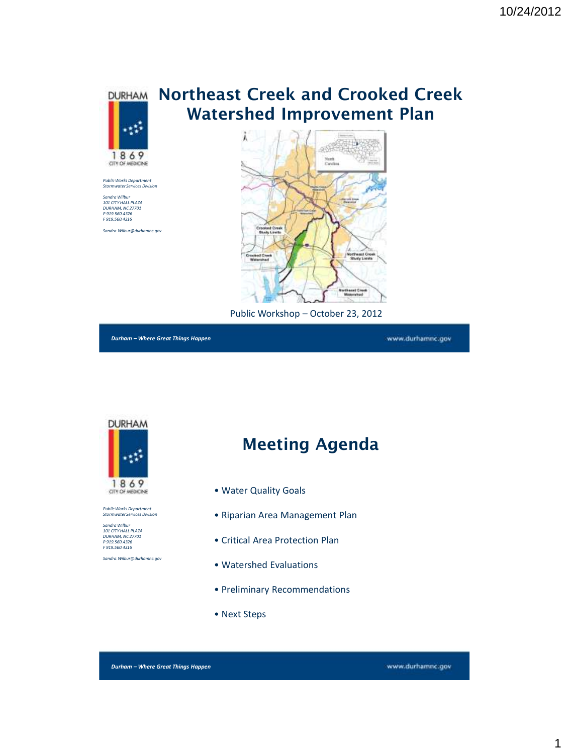

## **Northeast Creek and Crooked Creek Watershed Improvement Plan**



Public Workshop – October 23, 2012

*Durham – Where Great Things Happen*

www.durhamnc.gov



*Public Works Department Stormwater Services Division*

*Sandra Wilbur 101 CITY HALL PLAZA DURHAM, NC 27701 P 919.560.4326 F 919.560.4316*

*Sandra.Wilbur@durhamnc.gov*

### **Meeting Agenda**

- Water Quality Goals
- Riparian Area Management Plan
- Critical Area Protection Plan
- Watershed Evaluations
- Preliminary Recommendations
- Next Steps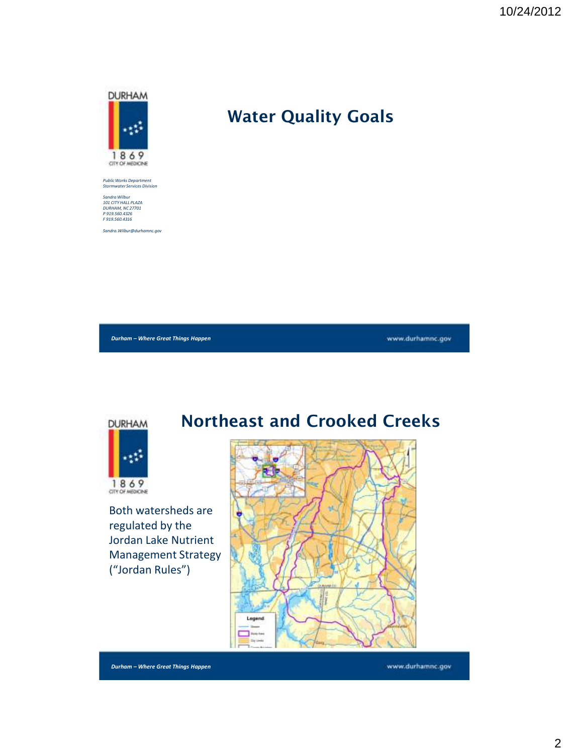

*Sandra Wilbur 101 CITY HALL PLAZA DURHAM, NC 27701 P 919.560.4326 F 919.560.4316*

*Sandra.Wilbur@durhamnc.gov*

www.durhamnc.gov



Both watersheds are regulated by the Jordan Lake Nutrient Management Strategy ("Jordan Rules")

*Durham – Where Great Things Happen*



**Water Quality Goals**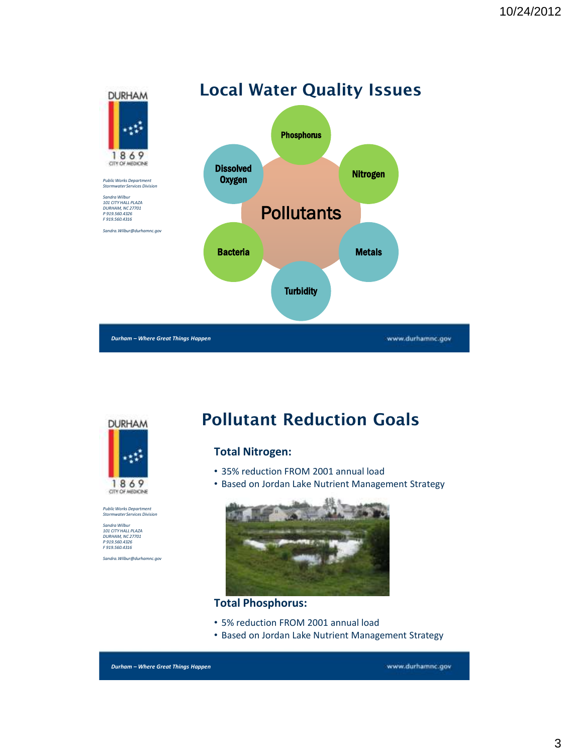



*Sandra Wilbur 101 CITY HALL PLAZA DURHAM, NC 27701 P 919.560.4326 F 919.560.4316*

*Sandra.Wilbur@durhamnc.gov*

## **Pollutant Reduction Goals**

#### **Total Nitrogen:**

- 35% reduction FROM 2001 annual load
- Based on Jordan Lake Nutrient Management Strategy



**Total Phosphorus:**

- 5% reduction FROM 2001 annual load
- Based on Jordan Lake Nutrient Management Strategy

*Durham – Where Great Things Happen*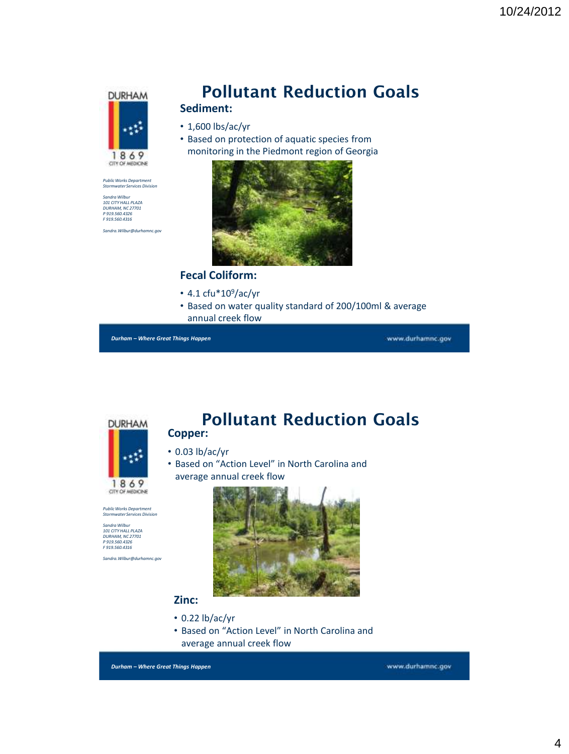

# **Pollutant Reduction Goals**

#### **Sediment:**

- 1,600 lbs/ac/yr
- Based on protection of aquatic species from monitoring in the Piedmont region of Georgia



#### **Fecal Coliform:**

- 4.1 cfu\*10<sup>9</sup>/ac/yr
- Based on water quality standard of 200/100ml & average annual creek flow

*Durham – Where Great Things Happen*

www.durhamnc.gov



#### **Pollutant Reduction Goals Copper:**

- 0.03 lb/ac/yr
- Based on "Action Level" in North Carolina and average annual creek flow



*Sandra Wilbur 101 CITY HALL PLAZA DURHAM, NC 27701 P 919.560.4326 F 919.560.4316*

*Sandra.Wilbur@durhamnc.gov*



- **Zinc:**
- 0.22 lb/ac/yr
- Based on "Action Level" in North Carolina and average annual creek flow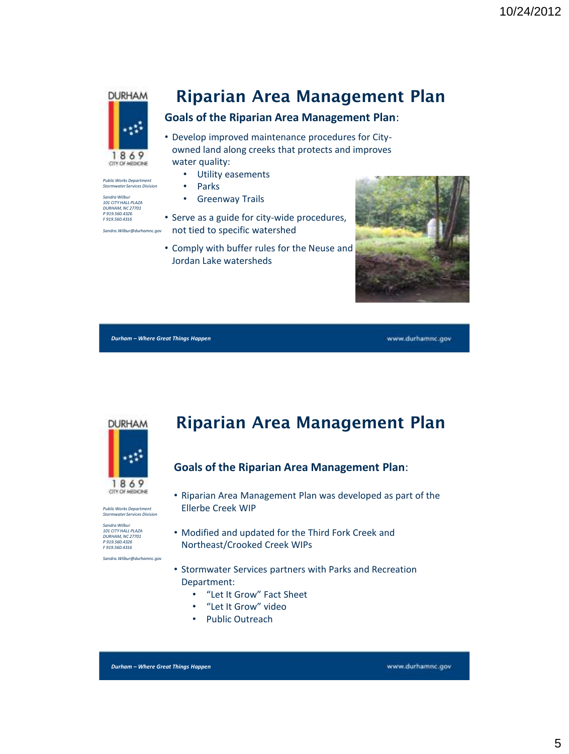

### **Riparian Area Management Plan**

#### **Goals of the Riparian Area Management Plan**:

• Develop improved maintenance procedures for Cityowned land along creeks that protects and improves water quality:

- Utility easements
- Parks
- Greenway Trails

• Serve as a guide for city-wide procedures, not tied to specific watershed

• Comply with buffer rules for the Neuse and Jordan Lake watersheds



*Durham – Where Great Things Happen*

www.durhamnc.gov



**Riparian Area Management Plan**

#### **Goals of the Riparian Area Management Plan**:

- Riparian Area Management Plan was developed as part of the Ellerbe Creek WIP
- *Public Works Department Stormwater Services Division Sandra Wilbur 101 CITY HALL PLAZA DURHAM, NC 27701*

*P 919.560.4326 F 919.560.4316 Sandra.Wilbur@durhamnc.gov* • Modified and updated for the Third Fork Creek and Northeast/Crooked Creek WIPs

- Stormwater Services partners with Parks and Recreation Department:
	- "Let It Grow" Fact Sheet
	- "Let It Grow" video
	- Public Outreach

*Durham – Where Great Things Happen*

www.durhamnc.gov

5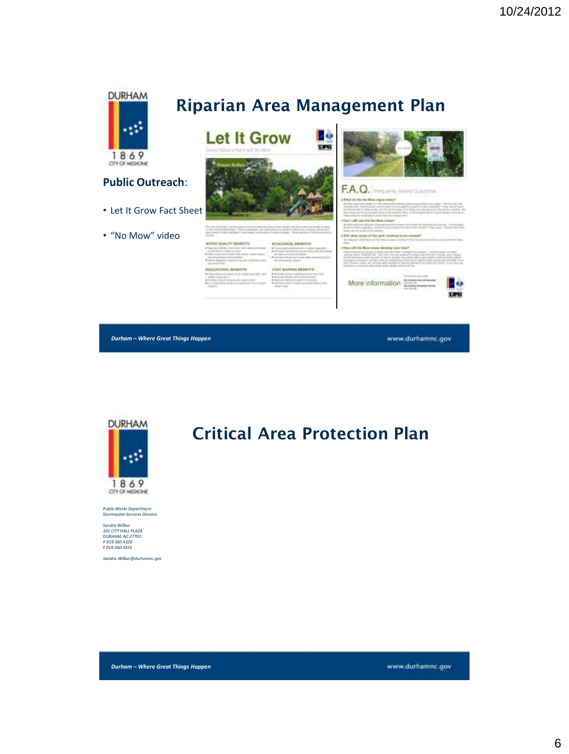

#### **Public Outreach**:

- Let It Grow Fact Sheet
- "No Mow" video



**Riparian Area Management Plan**

**Service Service** 

**SLOGICAL BERRITT** 

T SAVINGS ABAN

WITER QUALITY DEMENTS



F.A.Q. Fingurety Asked Curstices What do the big Mos ideas consert

**Carl off an then** 

Will other answer of the party acty to me

More information



*Durham – Where Great Things Happen*

www.durhamnc.gov



*Public Works Department Stormwater Services Division*

*Sandra Wilbur 101 CITY HALL PLAZA DURHAM, NC 27701 P 919.560.4326 F 919.560.4316*

*Sandra.Wilbur@durhamnc.gov*

## **Critical Area Protection Plan**

*Durham – Where Great Things Happen*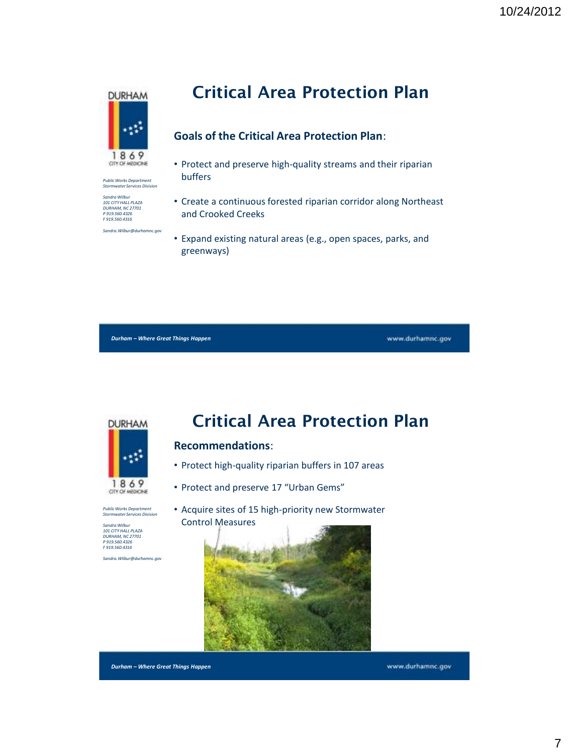

*Sandra Wilbur 101 CITY HALL PLAZA DURHAM, NC 27701 P 919.560.4326 F 919.560.4316*

*Sandra.Wilbur@durhamnc.gov*

**Critical Area Protection Plan**

#### **Goals of the Critical Area Protection Plan**:

- Protect and preserve high-quality streams and their riparian buffers
- Create a continuous forested riparian corridor along Northeast and Crooked Creeks
- Expand existing natural areas (e.g., open spaces, parks, and greenways)

*Durham – Where Great Things Happen*

www.durhamnc.gov



*Public Works Department Stormwater Services Division Sandra Wilbur 101 CITY HALL PLAZA DURHAM, NC 27701 P 919.560.4326 F 919.560.4316 Sandra.Wilbur@durhamnc.gov* **Critical Area Protection Plan**

#### **Recommendations**:

- Protect high-quality riparian buffers in 107 areas
- Protect and preserve 17 "Urban Gems"
- Acquire sites of 15 high-priority new Stormwater Control Measures



*Durham – Where Great Things Happen*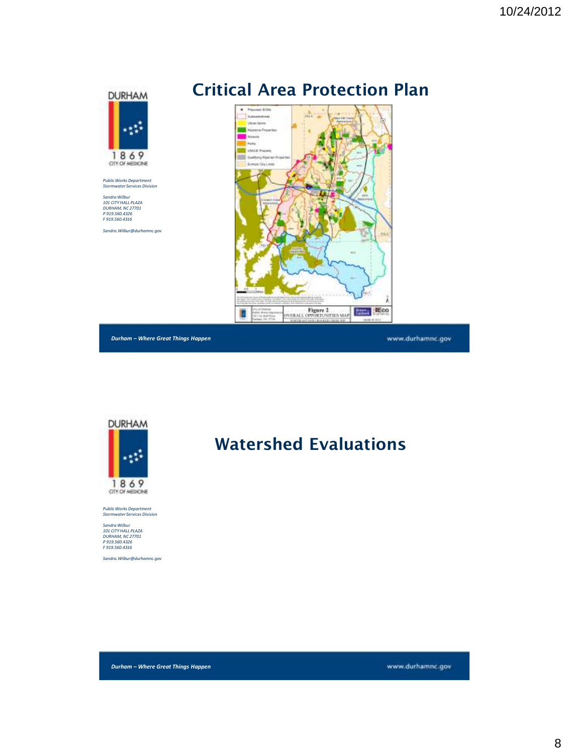

*Sandra.Wilbur@durhamnc.gov*

## **Critical Area Protection Plan**

**Han** 

ì

www.durhamnc.gov

**Turnalistics** 

tirka

п

Khryd Status<br>Polity Anticity<br>Pit Civi Ball Port

sales and demands

*Durham – Where Great Things Happen*



*Public Works Department Stormwater Services Division*

*Sandra Wilbur 101 CITY HALL PLAZA DURHAM, NC 27701 P 919.560.4326 F 919.560.4316*

*Sandra.Wilbur@durhamnc.gov*



**Figure 2** EXAMPLE CONTINUES MAP

*Durham – Where Great Things Happen*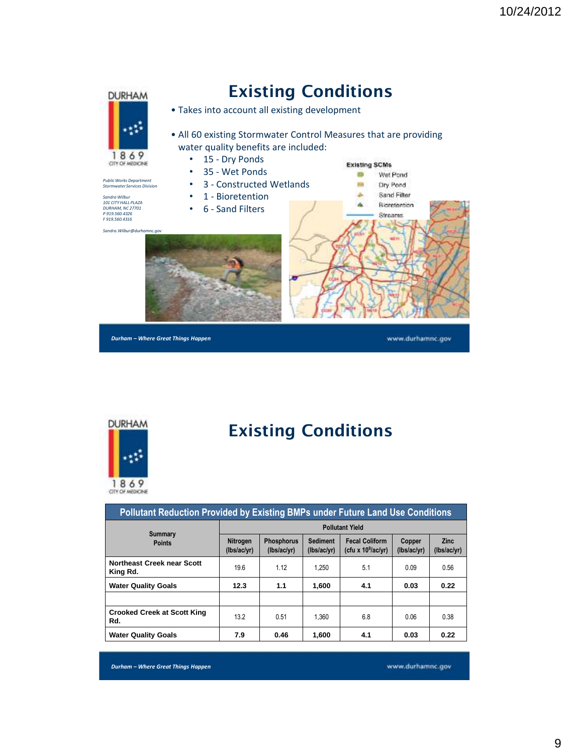



### **Existing Conditions**

| Pollutant Reduction Provided by Existing BMPs under Future Land Use Conditions |                                |                                  |                                |                                                |                       |                            |  |  |  |  |
|--------------------------------------------------------------------------------|--------------------------------|----------------------------------|--------------------------------|------------------------------------------------|-----------------------|----------------------------|--|--|--|--|
| Summary<br><b>Points</b>                                                       | <b>Pollutant Yield</b>         |                                  |                                |                                                |                       |                            |  |  |  |  |
|                                                                                | <b>Nitrogen</b><br>(lbs/ac/yr) | <b>Phosphorus</b><br>(lbs/ac/yr) | <b>Sediment</b><br>(lbs/ac/yr) | <b>Fecal Coliform</b><br>(cfu x $10^9$ /ac/yr) | Copper<br>(lbs/ac/yr) | <b>Zinc</b><br>(lbs/ac/yr) |  |  |  |  |
| Northeast Creek near Scott<br>King Rd.                                         | 19.6                           | 1.12                             | 1.250                          | 5.1                                            | 0.09                  | 0.56                       |  |  |  |  |
| <b>Water Quality Goals</b>                                                     | 12.3                           | 1.1                              | 1.600                          | 4.1                                            | 0.03                  | 0.22                       |  |  |  |  |
|                                                                                |                                |                                  |                                |                                                |                       |                            |  |  |  |  |
| <b>Crooked Creek at Scott King</b><br>Rd.                                      | 13.2                           | 0.51                             | 1.360                          | 6.8                                            | 0.06                  | 0.38                       |  |  |  |  |
| <b>Water Quality Goals</b>                                                     | 7.9                            | 0.46                             | 1.600                          | 4.1                                            | 0.03                  | 0.22                       |  |  |  |  |

*Durham – Where Great Things Happen*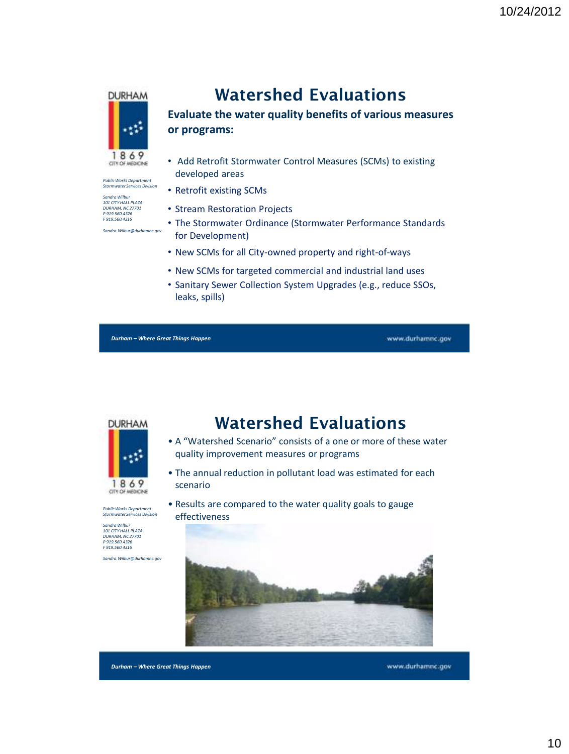

## **Watershed Evaluations**

**Evaluate the water quality benefits of various measures or programs:**

- Add Retrofit Stormwater Control Measures (SCMs) to existing developed areas
- Retrofit existing SCMs
- Stream Restoration Projects
- The Stormwater Ordinance (Stormwater Performance Standards for Development)
- New SCMs for all City-owned property and right-of-ways
- New SCMs for targeted commercial and industrial land uses
- Sanitary Sewer Collection System Upgrades (e.g., reduce SSOs, leaks, spills)

*Durham – Where Great Things Happen*

www.durhamnc.gov



*Public Works Department Stormwater Services Division*



- A "Watershed Scenario" consists of a one or more of these water quality improvement measures or programs
- The annual reduction in pollutant load was estimated for each scenario
- Results are compared to the water quality goals to gauge effectiveness





*Durham – Where Great Things Happen*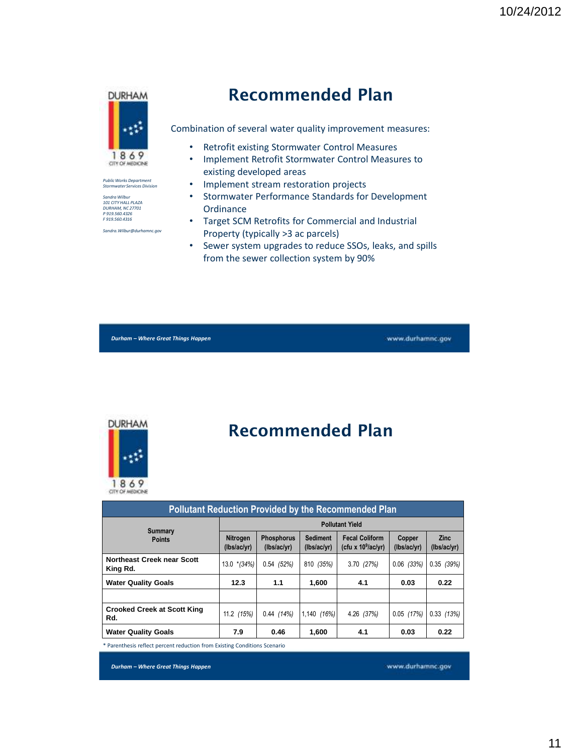

*Sandra Wilbur 101 CITY HALL PLAZA DURHAM, NC 27701 P 919.560.4326 F 919.560.4316*

*Sandra.Wilbur@durhamnc.gov*

### **Recommended Plan**

Combination of several water quality improvement measures:

- Retrofit existing Stormwater Control Measures
- Implement Retrofit Stormwater Control Measures to existing developed areas
- Implement stream restoration projects
- Stormwater Performance Standards for Development **Ordinance**
- Target SCM Retrofits for Commercial and Industrial Property (typically >3 ac parcels)
- Sewer system upgrades to reduce SSOs, leaks, and spills from the sewer collection system by 90%

*Durham – Where Great Things Happen*

www.durhamnc.gov



### **Recommended Plan**

| <b>Pollutant Reduction Provided by the Recommended Plan</b> |                         |                                  |                                |                                                         |                       |                            |  |  |  |
|-------------------------------------------------------------|-------------------------|----------------------------------|--------------------------------|---------------------------------------------------------|-----------------------|----------------------------|--|--|--|
| Summary<br><b>Points</b>                                    | <b>Pollutant Yield</b>  |                                  |                                |                                                         |                       |                            |  |  |  |
|                                                             | Nitrogen<br>(lbs/ac/yr) | <b>Phosphorus</b><br>(lbs/ac/yr) | <b>Sediment</b><br>(lbs/ac/yr) | <b>Fecal Coliform</b><br>(cfu x 10 <sup>9</sup> /ac/yr) | Copper<br>(lbs/ac/yr) | <b>Zinc</b><br>(lbs/ac/yr) |  |  |  |
| Northeast Creek near Scott<br>King Rd.                      | 13.0 *(34%)             | $0.54$ (52%)                     | 810 (35%)                      | 3.70 (27%)                                              | $0.06$ (33%)          | $0.35$ (39%)               |  |  |  |
| <b>Water Quality Goals</b>                                  | 12.3                    | 1.1                              | 1,600                          | 4.1                                                     | 0.03                  | 0.22                       |  |  |  |
|                                                             |                         |                                  |                                |                                                         |                       |                            |  |  |  |
| <b>Crooked Creek at Scott King</b><br>Rd.                   | $11.2$ (15%)            | $0.44$ (14%)                     | 1,140 (16%)                    | 4.26 (37%)                                              | $0.05$ (17%)          | 0.33(13%)                  |  |  |  |
| <b>Water Quality Goals</b>                                  | 7.9                     | 0.46                             | 1,600                          | 4.1                                                     | 0.03                  | 0.22                       |  |  |  |

\* Parenthesis reflect percent reduction from Existing Conditions Scenario

*Durham – Where Great Things Happen*